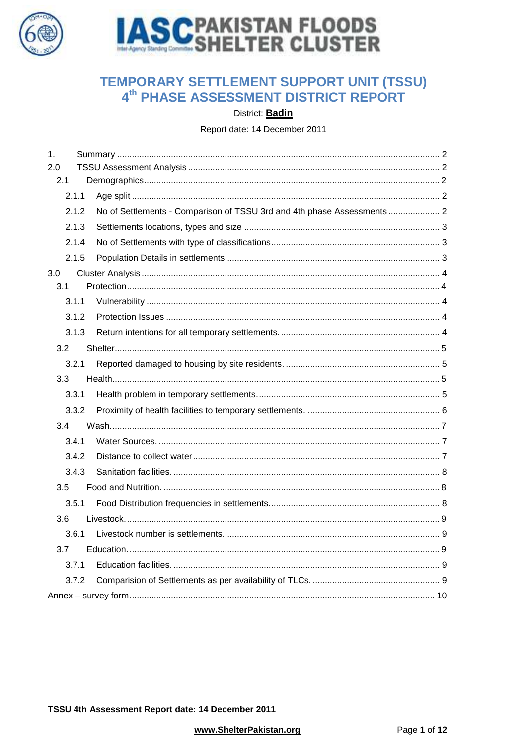



# TEMPORARY SETTLEMENT SUPPORT UNIT (TSSU) 4<sup>th</sup> PHASE ASSESSMENT DISTRICT REPORT

District: Badin

Report date: 14 December 2011

| 1.            |                                                                         |  |
|---------------|-------------------------------------------------------------------------|--|
| 2.0           |                                                                         |  |
| 2.1           |                                                                         |  |
| 2.1.1         |                                                                         |  |
| 2.1.2         | No of Settlements - Comparison of TSSU 3rd and 4th phase Assessments  2 |  |
| 2.1.3         |                                                                         |  |
| 2.1.4         |                                                                         |  |
| 2.1.5         |                                                                         |  |
| 3.0           |                                                                         |  |
| 3.1           |                                                                         |  |
| 3.1.1         |                                                                         |  |
| 3.1.2         |                                                                         |  |
| 3.1.3         |                                                                         |  |
| 3.2           |                                                                         |  |
| 3.2.1         |                                                                         |  |
| 3.3           |                                                                         |  |
| 3.3.1         |                                                                         |  |
| 3.3.2         |                                                                         |  |
| $3.4^{\circ}$ |                                                                         |  |
| 3.4.1         |                                                                         |  |
| 3.4.2         |                                                                         |  |
| 3.4.3         |                                                                         |  |
| 3.5           |                                                                         |  |
| 3.5.1         |                                                                         |  |
| 3.6           |                                                                         |  |
| 3.6.1         |                                                                         |  |
| 3.7           |                                                                         |  |
| 3.7.1         |                                                                         |  |
| 3.7.2         |                                                                         |  |
|               |                                                                         |  |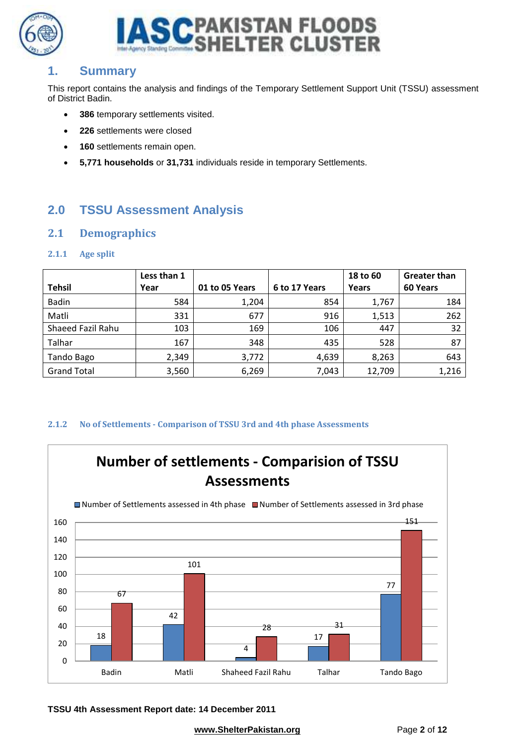



## <span id="page-1-0"></span>**1. Summary**

This report contains the analysis and findings of the Temporary Settlement Support Unit (TSSU) assessment of District Badin.

- **386** temporary settlements visited.
- **226** settlements were closed
- **160** settlements remain open.
- **5,771 households** or **31,731** individuals reside in temporary Settlements.

# <span id="page-1-1"></span>**2.0 TSSU Assessment Analysis**

#### <span id="page-1-2"></span>**2.1 Demographics**

#### <span id="page-1-3"></span>**2.1.1 Age split**

|                    | Less than 1 |                |               | 18 to 60 | <b>Greater than</b> |
|--------------------|-------------|----------------|---------------|----------|---------------------|
| <b>Tehsil</b>      | Year        | 01 to 05 Years | 6 to 17 Years | Years    | 60 Years            |
| <b>Badin</b>       | 584         | 1,204          | 854           | 1,767    | 184                 |
| Matli              | 331         | 677            | 916           | 1,513    | 262                 |
| Shaeed Fazil Rahu  | 103         | 169            | 106           | 447      | 32                  |
| Talhar             | 167         | 348            | 435           | 528      | 87                  |
| Tando Bago         | 2,349       | 3,772          | 4,639         | 8,263    | 643                 |
| <b>Grand Total</b> | 3,560       | 6,269          | 7,043         | 12,709   | 1,216               |

#### <span id="page-1-4"></span>**2.1.2 No of Settlements - Comparison of TSSU 3rd and 4th phase Assessments**



**TSSU 4th Assessment Report date: 14 December 2011**

**[www.ShelterPakistan.org](http://www.shelterpakistan.org/)** Page 2 of 12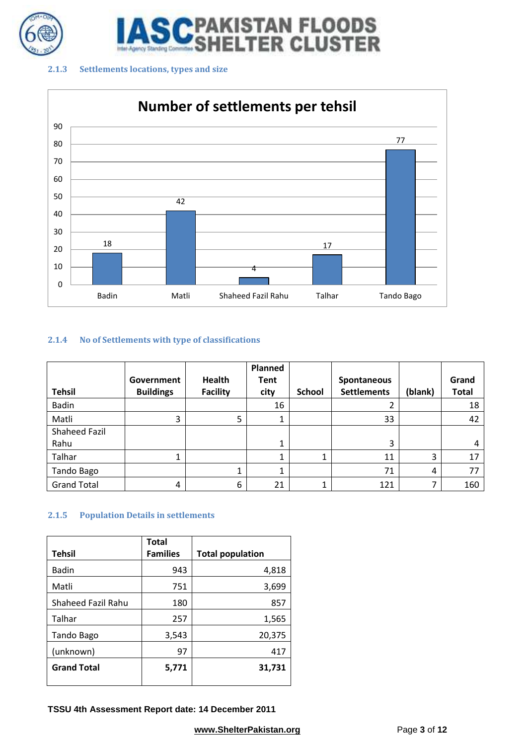

**STAN FLOODS<br>.TER CLUSTER** 

#### <span id="page-2-0"></span>**2.1.3 Settlements locations, types and size**



#### <span id="page-2-1"></span>**2.1.4 No of Settlements with type of classifications**

|                    |                  |                 | <b>Planned</b> |               |                    |         |              |
|--------------------|------------------|-----------------|----------------|---------------|--------------------|---------|--------------|
|                    | Government       | <b>Health</b>   | Tent           |               | Spontaneous        |         | Grand        |
| <b>Tehsil</b>      | <b>Buildings</b> | <b>Facility</b> | city           | <b>School</b> | <b>Settlements</b> | (blank) | <b>Total</b> |
| <b>Badin</b>       |                  |                 | 16             |               |                    |         | 18           |
| Matli              | 3                | 5               | 1              |               | 33                 |         | 42           |
| Shaheed Fazil      |                  |                 |                |               |                    |         |              |
| Rahu               |                  |                 | 1              |               | 3                  |         | 4            |
| Talhar             | Ŧ.               |                 | 1              |               | 11                 | 3       | 17           |
| Tando Bago         |                  |                 | 1              |               | 71                 | 4       | 77           |
| <b>Grand Total</b> | 4                | 6               | 21             |               | 121                | 7       | 160          |

#### <span id="page-2-2"></span>**2.1.5 Population Details in settlements**

|                           | Total           |                         |
|---------------------------|-----------------|-------------------------|
| <b>Tehsil</b>             | <b>Families</b> | <b>Total population</b> |
| <b>Badin</b>              | 943             | 4,818                   |
| Matli                     | 751             | 3,699                   |
| <b>Shaheed Fazil Rahu</b> | 180             | 857                     |
| Talhar                    | 257             | 1,565                   |
| Tando Bago                | 3,543           | 20,375                  |
| (unknown)                 | 97              | 417                     |
| <b>Grand Total</b>        | 5,771           | 31,731                  |

**TSSU 4th Assessment Report date: 14 December 2011**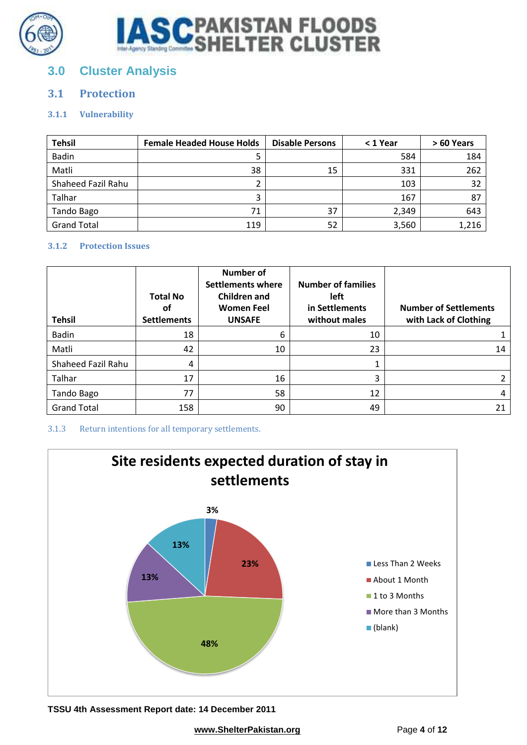



# <span id="page-3-0"></span>**3.0 Cluster Analysis**

## <span id="page-3-1"></span>**3.1 Protection**

#### <span id="page-3-2"></span>**3.1.1 Vulnerability**

| <b>Tehsil</b>      | <b>Female Headed House Holds</b> | <b>Disable Persons</b> | $<$ 1 Year | > 60 Years |
|--------------------|----------------------------------|------------------------|------------|------------|
| <b>Badin</b>       |                                  |                        | 584        | 184        |
| Matli              | 38                               | 15                     | 331        | 262        |
| Shaheed Fazil Rahu |                                  |                        | 103        | 32         |
| Talhar             |                                  |                        | 167        | 87         |
| Tando Bago         | 71                               | 37                     | 2,349      | 643        |
| <b>Grand Total</b> | 119                              | 52                     | 3,560      | 1,216      |

#### <span id="page-3-3"></span>**3.1.2 Protection Issues**

| <b>Tehsil</b>      | <b>Total No</b><br>οf<br><b>Settlements</b> | <b>Number of</b><br>Settlements where<br>Children and<br><b>Women Feel</b><br><b>UNSAFE</b> | <b>Number of families</b><br>left<br>in Settlements<br>without males | <b>Number of Settlements</b><br>with Lack of Clothing |
|--------------------|---------------------------------------------|---------------------------------------------------------------------------------------------|----------------------------------------------------------------------|-------------------------------------------------------|
| <b>Badin</b>       | 18                                          | 6                                                                                           | 10                                                                   |                                                       |
| Matli              | 42                                          | 10                                                                                          | 23                                                                   | 14                                                    |
| Shaheed Fazil Rahu | 4                                           |                                                                                             |                                                                      |                                                       |
| Talhar             | 17                                          | 16                                                                                          | 3                                                                    |                                                       |
| Tando Bago         | 77                                          | 58                                                                                          | 12                                                                   | 4                                                     |
| <b>Grand Total</b> | 158                                         | 90                                                                                          | 49                                                                   | 21                                                    |

#### <span id="page-3-4"></span>3.1.3 Return intentions for all temporary settlements.



**TSSU 4th Assessment Report date: 14 December 2011**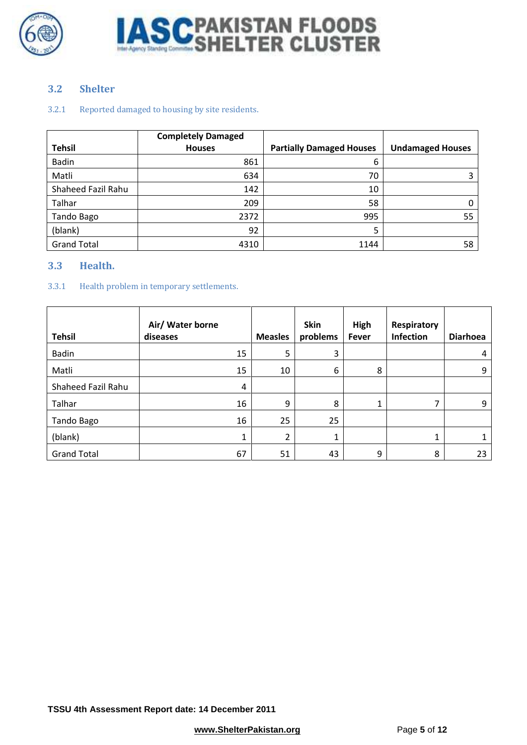



#### <span id="page-4-0"></span>**3.2 Shelter**

#### <span id="page-4-1"></span>3.2.1 Reported damaged to housing by site residents.

|                    | <b>Completely Damaged</b> |                                 |                         |
|--------------------|---------------------------|---------------------------------|-------------------------|
| <b>Tehsil</b>      | <b>Houses</b>             | <b>Partially Damaged Houses</b> | <b>Undamaged Houses</b> |
| <b>Badin</b>       | 861                       | 6                               |                         |
| Matli              | 634                       | 70                              |                         |
| Shaheed Fazil Rahu | 142                       | 10                              |                         |
| Talhar             | 209                       | 58                              | 0                       |
| Tando Bago         | 2372                      | 995                             | 55                      |
| (blank)            | 92                        | 5                               |                         |
| <b>Grand Total</b> | 4310                      | 1144                            | 58                      |

#### <span id="page-4-2"></span>**3.3 Health.**

#### <span id="page-4-3"></span>3.3.1 Health problem in temporary settlements.

| <b>Tehsil</b>      | Air/ Water borne<br>diseases | <b>Measles</b> | Skin<br>problems | High<br><b>Fever</b> | Respiratory<br>Infection | <b>Diarhoea</b> |
|--------------------|------------------------------|----------------|------------------|----------------------|--------------------------|-----------------|
| <b>Badin</b>       | 15                           | 5              | 3                |                      |                          | 4               |
| Matli              | 15                           | 10             | 6                | 8                    |                          | 9               |
| Shaheed Fazil Rahu | 4                            |                |                  |                      |                          |                 |
| Talhar             | 16                           | 9              | 8                | 1                    | 7                        | 9               |
| Tando Bago         | 16                           | 25             | 25               |                      |                          |                 |
| (blank)            | 1                            | 2              | 1                |                      | 1                        |                 |
| <b>Grand Total</b> | 67                           | 51             | 43               | 9                    | 8                        | 23              |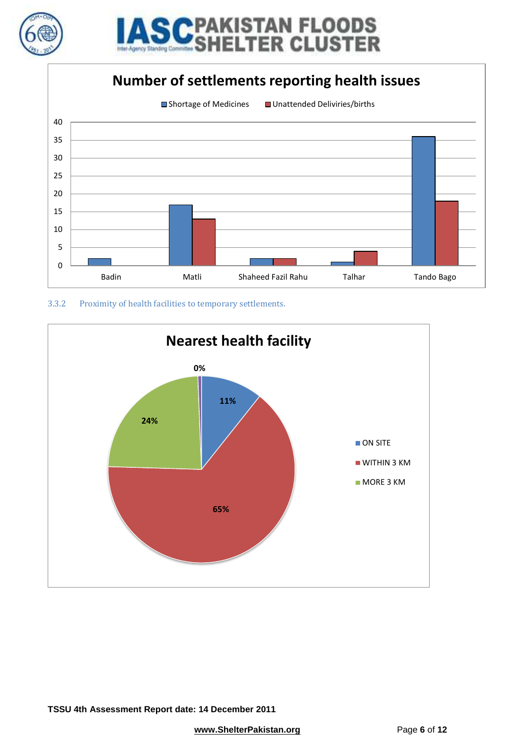



# **Number of settlements reporting health issues**



<span id="page-5-0"></span>

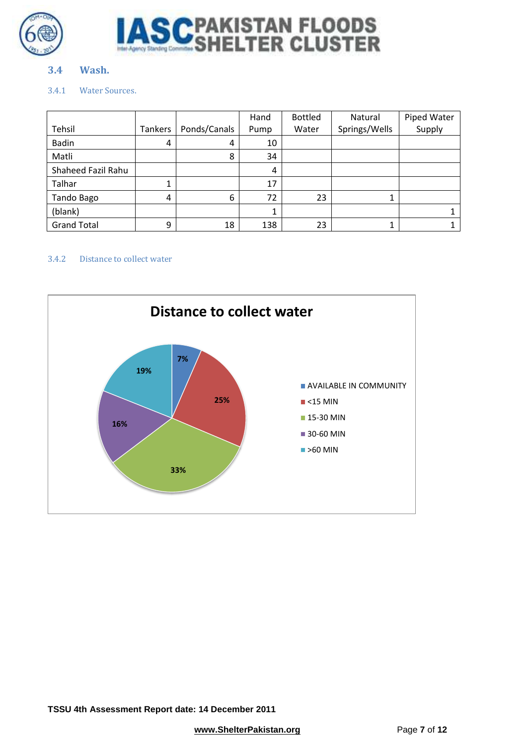



#### <span id="page-6-0"></span>**3.4 Wash.**

#### <span id="page-6-1"></span>3.4.1 Water Sources.

|                    |         |              | Hand | <b>Bottled</b> | Natural       | Piped Water |
|--------------------|---------|--------------|------|----------------|---------------|-------------|
| Tehsil             | Tankers | Ponds/Canals | Pump | Water          | Springs/Wells | Supply      |
| <b>Badin</b>       | 4       | 4            | 10   |                |               |             |
| Matli              |         | 8            | 34   |                |               |             |
| Shaheed Fazil Rahu |         |              | 4    |                |               |             |
| Talhar             | 1       |              | 17   |                |               |             |
| Tando Bago         | 4       | 6            | 72   | 23             |               |             |
| (blank)            |         |              |      |                |               |             |
| <b>Grand Total</b> | 9       | 18           | 138  | 23             |               |             |

#### <span id="page-6-2"></span>3.4.2 Distance to collect water

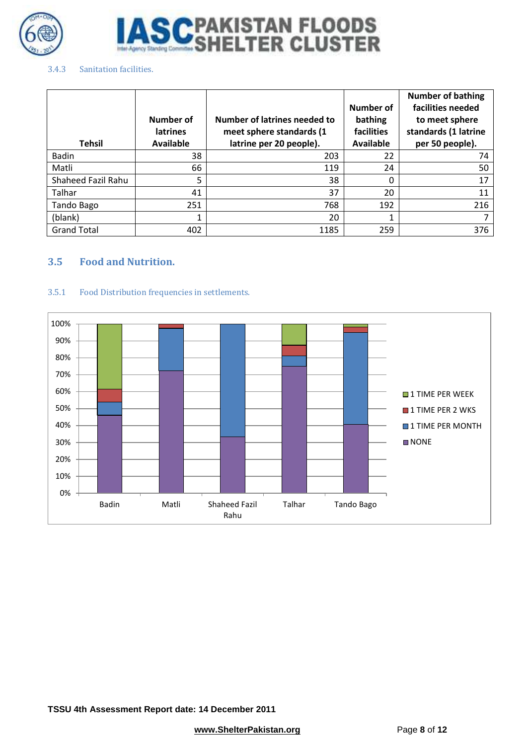



#### <span id="page-7-0"></span>3.4.3 Sanitation facilities.

|                    | Number of<br><b>latrines</b> | Number of latrines needed to<br>meet sphere standards (1 | Number of<br>bathing<br>facilities | <b>Number of bathing</b><br>facilities needed<br>to meet sphere<br>standards (1 latrine |
|--------------------|------------------------------|----------------------------------------------------------|------------------------------------|-----------------------------------------------------------------------------------------|
| <b>Tehsil</b>      | <b>Available</b>             | latrine per 20 people).                                  | <b>Available</b>                   | per 50 people).                                                                         |
| <b>Badin</b>       | 38                           | 203                                                      | 22                                 | 74                                                                                      |
| Matli              | 66                           | 119                                                      | 24                                 | 50                                                                                      |
| Shaheed Fazil Rahu | 5                            | 38                                                       | 0                                  | 17                                                                                      |
| Talhar             | 41                           | 37                                                       | 20                                 | 11                                                                                      |
| Tando Bago         | 251                          | 768                                                      | 192                                | 216                                                                                     |
| (blank)            |                              | 20                                                       |                                    | 7                                                                                       |
| <b>Grand Total</b> | 402                          | 1185                                                     | 259                                | 376                                                                                     |

#### <span id="page-7-1"></span>**3.5 Food and Nutrition.**

#### <span id="page-7-2"></span>3.5.1 Food Distribution frequencies in settlements.

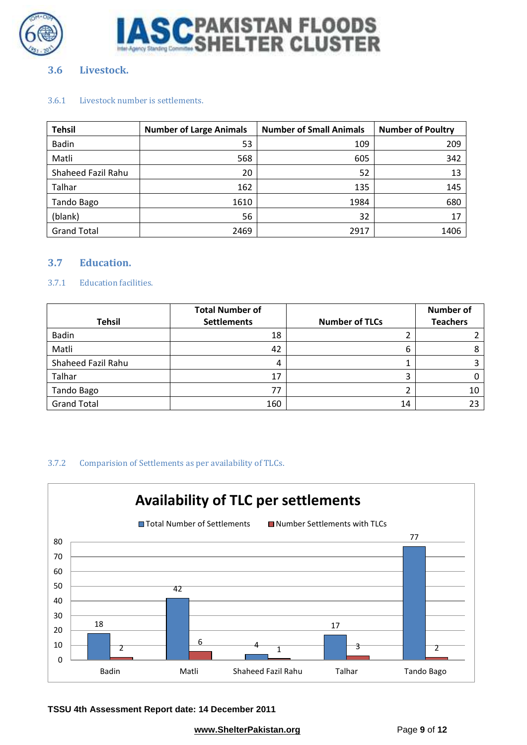



#### <span id="page-8-0"></span>**3.6 Livestock.**

#### <span id="page-8-1"></span>3.6.1 Livestock number is settlements.

| <b>Tehsil</b>      | <b>Number of Large Animals</b> | <b>Number of Small Animals</b> | <b>Number of Poultry</b> |
|--------------------|--------------------------------|--------------------------------|--------------------------|
| <b>Badin</b>       | 53                             | 109                            | 209                      |
| Matli              | 568                            | 605                            | 342                      |
| Shaheed Fazil Rahu | 20                             | 52                             | 13                       |
| Talhar             | 162                            | 135                            | 145                      |
| Tando Bago         | 1610                           | 1984                           | 680                      |
| (blank)            | 56                             | 32                             | 17                       |
| <b>Grand Total</b> | 2469                           | 2917                           | 1406                     |

#### <span id="page-8-2"></span>**3.7 Education.**

#### <span id="page-8-3"></span>3.7.1 Education facilities.

|                    | <b>Total Number of</b> |                       | <b>Number of</b> |
|--------------------|------------------------|-----------------------|------------------|
| <b>Tehsil</b>      | <b>Settlements</b>     | <b>Number of TLCs</b> | <b>Teachers</b>  |
| <b>Badin</b>       | 18                     |                       |                  |
| Matli              | 42                     | b                     |                  |
| Shaheed Fazil Rahu |                        |                       |                  |
| Talhar             | 17                     |                       |                  |
| <b>Tando Bago</b>  |                        |                       | 10               |
| <b>Grand Total</b> | 160                    | 14                    |                  |

#### <span id="page-8-4"></span>3.7.2 Comparision of Settlements as per availability of TLCs.



**TSSU 4th Assessment Report date: 14 December 2011**

**[www.ShelterPakistan.org](http://www.shelterpakistan.org/)** Page 9 of 12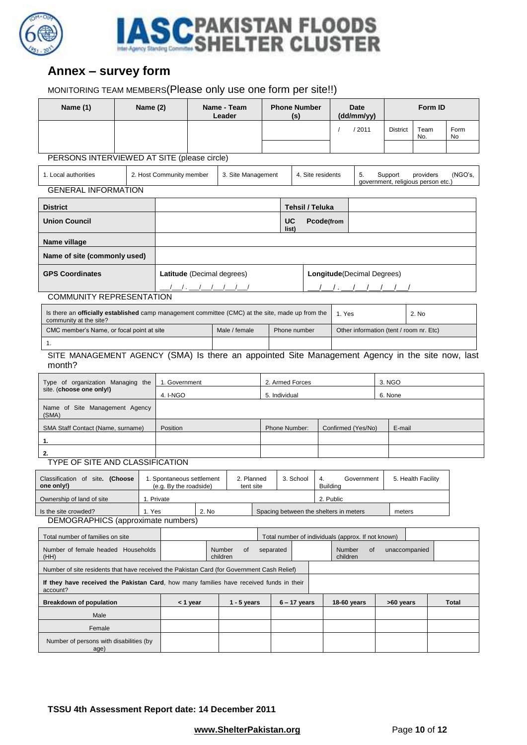



# <span id="page-9-0"></span>**Annex – survey form**

### MONITORING TEAM MEMBERS(Please only use one form per site!!)

| Name (1)                                                                                                                          | Name (2)      |                                                     |          | Name - Team<br>Leader      |                 | <b>Phone Number</b><br>(s)                         |                                     |                                           | <b>Date</b><br>(dd/mm/yy)          |                                               | Form ID     |              |  |
|-----------------------------------------------------------------------------------------------------------------------------------|---------------|-----------------------------------------------------|----------|----------------------------|-----------------|----------------------------------------------------|-------------------------------------|-------------------------------------------|------------------------------------|-----------------------------------------------|-------------|--------------|--|
|                                                                                                                                   |               |                                                     |          |                            |                 |                                                    |                                     | /2011<br>$\prime$                         |                                    | <b>District</b>                               | Team<br>No. | Form<br>No   |  |
|                                                                                                                                   |               |                                                     |          |                            |                 |                                                    |                                     |                                           |                                    |                                               |             |              |  |
| PERSONS INTERVIEWED AT SITE (please circle)                                                                                       |               |                                                     |          |                            |                 |                                                    |                                     |                                           |                                    |                                               |             |              |  |
| 1. Local authorities                                                                                                              |               | 2. Host Community member                            |          | 3. Site Management         |                 |                                                    | 4. Site residents                   |                                           | 5.                                 | Support<br>government, religious person etc.) | providers   | (NGO's,      |  |
| <b>GENERAL INFORMATION</b>                                                                                                        |               |                                                     |          |                            |                 |                                                    |                                     |                                           |                                    |                                               |             |              |  |
| <b>District</b>                                                                                                                   |               |                                                     |          |                            |                 |                                                    | Tehsil / Teluka                     |                                           |                                    |                                               |             |              |  |
| <b>Union Council</b>                                                                                                              |               |                                                     |          |                            |                 | UC<br>list)                                        | Pcode(from                          |                                           |                                    |                                               |             |              |  |
| Name village                                                                                                                      |               |                                                     |          |                            |                 |                                                    |                                     |                                           |                                    |                                               |             |              |  |
| Name of site (commonly used)                                                                                                      |               |                                                     |          |                            |                 |                                                    |                                     |                                           |                                    |                                               |             |              |  |
| <b>GPS Coordinates</b>                                                                                                            |               |                                                     |          | Latitude (Decimal degrees) |                 |                                                    |                                     |                                           | <b>Longitude</b> (Decimal Degrees) |                                               |             |              |  |
| <b>COMMUNITY REPRESENTATION</b>                                                                                                   |               |                                                     |          |                            |                 |                                                    |                                     |                                           |                                    |                                               |             |              |  |
| Is there an <b>officially established</b> camp management committee (CMC) at the site, made up from the<br>community at the site? |               |                                                     |          |                            |                 |                                                    |                                     | 1. Yes                                    |                                    |                                               | 2. No       |              |  |
| CMC member's Name, or focal point at site                                                                                         |               |                                                     |          | Male / female              |                 | Phone number                                       |                                     |                                           |                                    | Other information (tent / room nr. Etc)       |             |              |  |
| 1.                                                                                                                                |               |                                                     |          |                            |                 |                                                    |                                     |                                           |                                    |                                               |             |              |  |
| SITE MANAGEMENT AGENCY (SMA) Is there an appointed Site Management Agency in the site now, last<br>month?                         |               |                                                     |          |                            |                 |                                                    |                                     |                                           |                                    |                                               |             |              |  |
| Type of organization Managing the                                                                                                 | 1. Government |                                                     |          |                            | 2. Armed Forces |                                                    |                                     |                                           | 3. NGO                             |                                               |             |              |  |
| site. (choose one only!)                                                                                                          |               | 4. I-NGO                                            |          |                            |                 | 5. Individual                                      |                                     |                                           |                                    | 6. None                                       |             |              |  |
| Name of Site Management Agency<br>(SMA)                                                                                           |               |                                                     |          |                            |                 |                                                    |                                     |                                           |                                    |                                               |             |              |  |
| SMA Staff Contact (Name, surname)                                                                                                 |               | Position                                            |          |                            | Phone Number:   |                                                    |                                     | Confirmed (Yes/No)                        |                                    | E-mail                                        |             |              |  |
| 1.                                                                                                                                |               |                                                     |          |                            |                 |                                                    |                                     |                                           |                                    |                                               |             |              |  |
| 2.                                                                                                                                |               |                                                     |          |                            |                 |                                                    |                                     |                                           |                                    |                                               |             |              |  |
| <b>TYPE OF SITE AND CLASSIFICATION</b>                                                                                            |               |                                                     |          |                            |                 |                                                    |                                     |                                           |                                    |                                               |             |              |  |
| Classification of site. (Choose<br>one only!)                                                                                     |               | 1. Spontaneous settlement<br>(e.g. By the roadside) |          | 2. Planned<br>tent site    |                 | 3. School                                          | 4.<br>Government<br><b>Building</b> |                                           |                                    | 5. Health Facility                            |             |              |  |
| Ownership of land of site                                                                                                         |               | 1. Private                                          |          |                            |                 |                                                    |                                     | 2. Public                                 |                                    |                                               |             |              |  |
| Is the site crowded?                                                                                                              | 1. Yes        |                                                     | 2. No    |                            |                 | Spacing between the shelters in meters             |                                     |                                           |                                    | meters                                        |             |              |  |
| <b>DEMOGRAPHICS</b> (approximate numbers)                                                                                         |               |                                                     |          |                            |                 |                                                    |                                     |                                           |                                    |                                               |             |              |  |
| Total number of families on site                                                                                                  |               |                                                     |          |                            |                 | Total number of individuals (approx. If not known) |                                     |                                           |                                    |                                               |             |              |  |
| Number of female headed Households<br>(HH)                                                                                        |               |                                                     |          | Number<br>of<br>children   | separated       |                                                    |                                     | Number<br>of<br>unaccompanied<br>children |                                    |                                               |             |              |  |
| Number of site residents that have received the Pakistan Card (for Government Cash Relief)                                        |               |                                                     |          |                            |                 |                                                    |                                     |                                           |                                    |                                               |             |              |  |
| If they have received the Pakistan Card, how many families have received funds in their<br>account?                               |               |                                                     |          |                            |                 |                                                    |                                     |                                           |                                    |                                               |             |              |  |
| <b>Breakdown of population</b>                                                                                                    |               |                                                     | < 1 year | $1 - 5$ years              |                 | $6 - 17$ years                                     |                                     | 18-60 years                               |                                    | >60 years                                     |             | <b>Total</b> |  |
| Male                                                                                                                              |               |                                                     |          |                            |                 |                                                    |                                     |                                           |                                    |                                               |             |              |  |
| Female                                                                                                                            |               |                                                     |          |                            |                 |                                                    |                                     |                                           |                                    |                                               |             |              |  |
| Number of persons with disabilities (by<br>age)                                                                                   |               |                                                     |          |                            |                 |                                                    |                                     |                                           |                                    |                                               |             |              |  |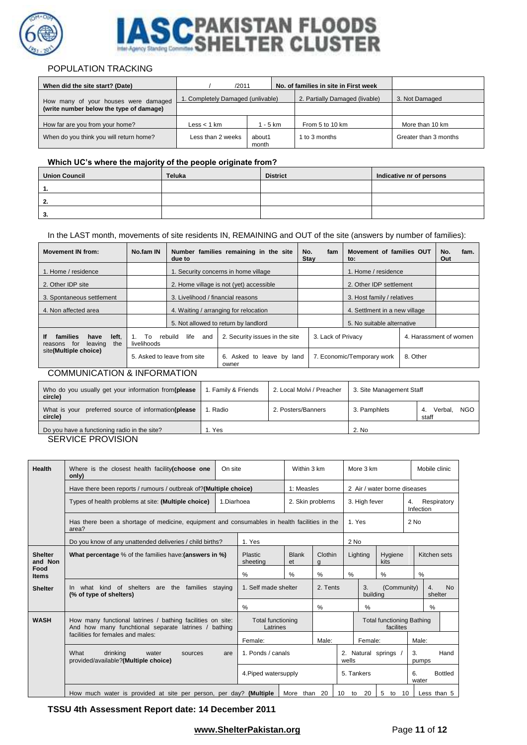

# CPAKISTAN FLOODS<br>SHELTER CLUSTER S

#### POPULATION TRACKING

| When did the site start? (Date)         | /2011                             |                 | No. of families in site in First week |                       |  |  |
|-----------------------------------------|-----------------------------------|-----------------|---------------------------------------|-----------------------|--|--|
| How many of your houses were damaged    | 1. Completely Damaged (unlivable) |                 | 2. Partially Damaged (livable)        | 3. Not Damaged        |  |  |
| (write number below the type of damage) |                                   |                 |                                       |                       |  |  |
| How far are you from your home?         | $\textsf{Less}$ < 1 km            | 1 - 5 km        | From 5 to 10 km                       | More than 10 km       |  |  |
| When do you think you will return home? | Less than 2 weeks                 | about1<br>month | to 3 months                           | Greater than 3 months |  |  |

#### **Which UC's where the majority of the people originate from?**

| <b>Union Council</b> | <b>Teluka</b> | <b>District</b> | Indicative nr of persons |
|----------------------|---------------|-----------------|--------------------------|
|                      |               |                 |                          |
|                      |               |                 |                          |
| - 1<br>o             |               |                 |                          |

#### In the LAST month, movements of site residents IN, REMAINING and OUT of the site (answers by number of families):

| <b>Movement IN from:</b>                                            | No.fam IN                    | due to                            | Number families remaining in the site   | No.<br><b>Stay</b> | fam                           | Movement of families OUT<br>to: |                                    | No.<br>Out | fam. |
|---------------------------------------------------------------------|------------------------------|-----------------------------------|-----------------------------------------|--------------------|-------------------------------|---------------------------------|------------------------------------|------------|------|
| 1. Home / residence                                                 |                              |                                   | 1. Security concerns in home village    |                    |                               | 1. Home / residence             |                                    |            |      |
| 2. Other IDP site                                                   |                              |                                   | 2. Home village is not (yet) accessible |                    | 2. Other IDP settlement       |                                 |                                    |            |      |
| 3. Spontaneous settlement                                           |                              | 3. Livelihood / financial reasons |                                         |                    |                               | 3. Host family / relatives      |                                    |            |      |
| 4. Non affected area                                                |                              |                                   | 4. Waiting / arranging for relocation   |                    | 4. Settiment in a new village |                                 |                                    |            |      |
|                                                                     |                              |                                   | 5. Not allowed to return by landlord    |                    |                               | 5. No suitable alternative      |                                    |            |      |
| families<br>left.<br>lf<br>have<br>for<br>leaving<br>the<br>reasons | To<br>$1_{-}$<br>livelihoods | life<br>rebuild<br>and            | 2. Security issues in the site          |                    | 3. Lack of Privacy            |                                 |                                    |            |      |
| site(Multiple choice)                                               |                              | 5. Asked to leave from site       | 6. Asked to leave by land<br>owner      |                    |                               | 7. Economic/Temporary work      | 4. Harassment of women<br>8. Other |            |      |
| COMMI INICATION & INEOPMATION                                       |                              |                                   |                                         |                    |                               |                                 |                                    |            |      |

#### COMMUNICATION & INFORMATION

| Who do you usually get your information from(please<br>circle)    | . Family & Friends | 2. Local Molvi / Preacher | 3. Site Management Staff |                                      |  |  |  |  |
|-------------------------------------------------------------------|--------------------|---------------------------|--------------------------|--------------------------------------|--|--|--|--|
| preferred source of information(please<br>What is your<br>circle) | . Radio            | 2. Posters/Banners        | 3. Pamphlets             | <b>NGO</b><br>Verbal.<br>4.<br>staff |  |  |  |  |
| Do you have a functioning radio in the site?                      | Yes                |                           | 2. No                    |                                      |  |  |  |  |

SERVICE PROVISION

| Health                    | Where is the closest health facility $(choose$ one<br>only)                                                        | On site    |                                      | Within 3 km          | More 3 km    |                                               |                |                 | Mobile clinic                  |                            |  |  |
|---------------------------|--------------------------------------------------------------------------------------------------------------------|------------|--------------------------------------|----------------------|--------------|-----------------------------------------------|----------------|-----------------|--------------------------------|----------------------------|--|--|
|                           | Have there been reports / rumours / outbreak of? (Multiple choice)                                                 |            | 1: Measles                           |                      |              | 2 Air / water borne diseases                  |                |                 |                                |                            |  |  |
|                           | Types of health problems at site: (Multiple choice)                                                                | 1.Diarhoea | 2. Skin problems                     |                      |              |                                               | 3. High fever  |                 | Respiratory<br>4.<br>Infection |                            |  |  |
|                           | Has there been a shortage of medicine, equipment and consumables in health facilities in the<br>area?              |            |                                      |                      | 1. Yes       |                                               | $2$ No         |                 |                                |                            |  |  |
|                           | Do you know of any unattended deliveries / child births?                                                           | 1. Yes     |                                      |                      |              | 2 No                                          |                |                 |                                |                            |  |  |
| <b>Shelter</b><br>and Non | What percentage % of the families have: (answers in %)                                                             |            |                                      | <b>Blank</b><br>et   | Clothin<br>a | Lighting                                      |                | Hygiene<br>kits |                                | Kitchen sets               |  |  |
| Food<br><b>Items</b>      |                                                                                                                    |            | %                                    | $\%$                 | %            | %                                             |                | %               | %                              |                            |  |  |
| <b>Shelter</b>            | In what kind of shelters are the families staying<br>(% of type of shelters)                                       |            | 1. Self made shelter                 |                      | 2. Tents     |                                               | 3.<br>building |                 | (Community)                    | <b>No</b><br>4.<br>shelter |  |  |
|                           |                                                                                                                    |            | %                                    | %                    |              | %                                             |                |                 | %                              |                            |  |  |
| <b>WASH</b>               | How many functional latrines / bathing facilities on site:<br>And how many funchtional separate latrines / bathing |            | <b>Total functioning</b><br>Latrines |                      |              | <b>Total functioning Bathing</b><br>facilites |                |                 |                                |                            |  |  |
|                           | facilities for females and males:                                                                                  |            | Female:                              | Male:                |              | Female:                                       |                |                 | Male:                          |                            |  |  |
|                           | What<br>drinking<br>water<br>sources<br>are<br>provided/available?(Multiple choice)                                |            | 1. Ponds / canals                    |                      |              | 2. Natural springs<br>wells                   |                |                 | 3.<br>Hand<br>pumps            |                            |  |  |
|                           |                                                                                                                    |            |                                      | 4. Piped watersupply |              |                                               |                |                 | 6.<br><b>Bottled</b><br>water  |                            |  |  |
|                           | How much water is provided at site per person, per day? (Multiple                                                  |            |                                      | More<br>than         | -20          | 10<br>to                                      | 20             | 5<br>10<br>to   |                                | Less than 5                |  |  |

#### **TSSU 4th Assessment Report date: 14 December 2011**

#### **[www.ShelterPakistan.org](http://www.shelterpakistan.org/)** Page 11 of 12